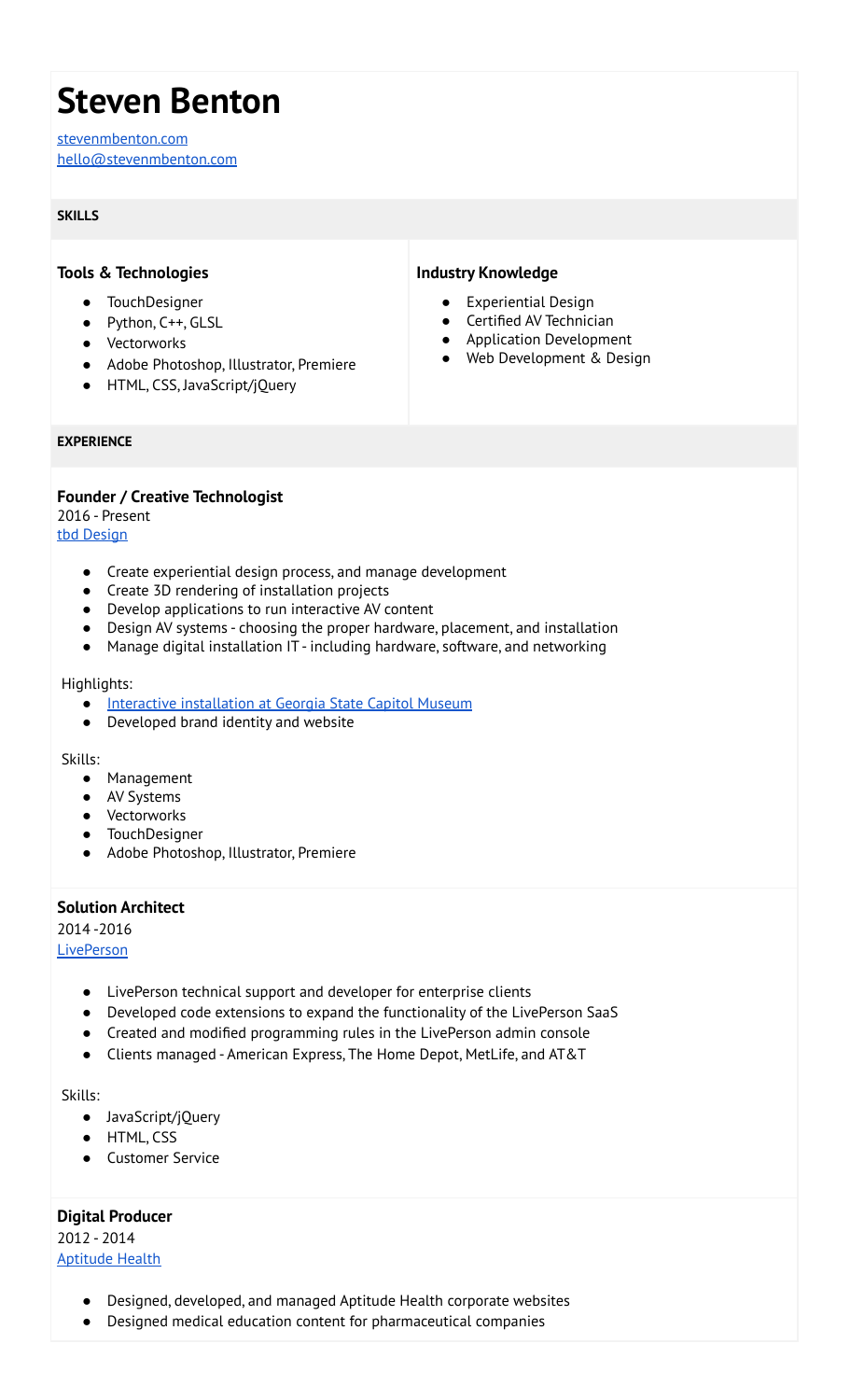# **Steven Benton**

[stevenmbenton.com](https://stevenmbenton.com/) [hello@stevenmbenton.com](mailto:hello@stevenmbenton.com)

## **SKILLS**

# **Tools & Technologies**

- TouchDesigner
- Python, C++, GLSL
- Vectorworks
- Adobe Photoshop, Illustrator, Premiere
- HTML, CSS, JavaScript/jQuery

# **Industry Knowledge**

- **Experiential Design**
- Certified AV Technician
- Application Development
- Web Development & Design

#### **EXPERIENCE**

**Founder / Creative Technologist** 2016 - Present tbd [Design](http://wearetbd.com)

- Create experiential design process, and manage development
- Create 3D rendering of installation projects
- Develop applications to run interactive AV content
- Design AV systems choosing the proper hardware, placement, and installation
- Manage digital installation IT including hardware, software, and networking

#### Highlights:

- Interactive [installation](https://wearetbd.com/interactive-display/) at Georgia State Capitol Museum
- Developed brand identity and website

Skills:

- Management
- AV Systems
- Vectorworks
- TouchDesigner
- Adobe Photoshop, Illustrator, Premiere

## **Solution Architect**

2014 -2016

**[LivePerson](https://www.liveperson.com/)** 

- LivePerson technical support and developer for enterprise clients
- Developed code extensions to expand the functionality of the LivePerson SaaS
- Created and modified programming rules in the LivePerson admin console
- Clients managed American Express, The Home Depot, MetLife, and AT&T

#### Skills:

- JavaScript/jQuery
- HTML, CSS
- Customer Service

## **Digital Producer**

2012 - 2014 [Aptitude](https://www.aptitudehealth.com/) Health

- Designed, developed, and managed Aptitude Health corporate websites
- Designed medical education content for pharmaceutical companies